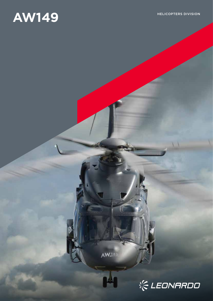# AW149 HELICOPTERS DIVISION



 $AW^{140}$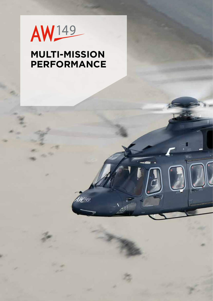

## **MULTI-MISSION PERFORMANCE**

<u>411/10</u>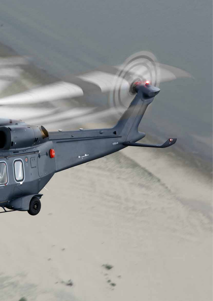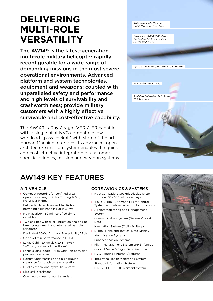## **DELIVERING MULTI-ROLE VERSATILITY**

The AW149 is the latest-generation multi-role military helicopter rapidly reconfigurable for a wide range of demanding missions in the most severe operational environments. Advanced platform and system technologies, equipment and weapons; coupled with unparalleled safety and performance and high levels of survivability and crashworthiness; provide military customers with a highly effective survivable and cost-effective capability.

The AW149 is Day / Night VFR / IFR capable with a single pilot NVG compatible low workload 'glass cockpit' with state of the art Human Machine Interface. Its advanced, openarchitecture mission system enables the quick and cost-effective integration of customerspecific avionics, mission and weapon systems.

# *Self sealing fuel tanks Scalable Defensive Aids Suite (DAS) solutions Up to 30 minutes performance in HOGE Two engines (2000/2500 shp class) Dedicated 60 kW Auxiliary Power Unit (APU)*

*Role Installable Rescue Hoist/Single or Dual type* 

AW149 KEY FEATURES

#### AIR VEHICLE

- › Compact footprint for confined area operations (Length Rotor Turning 17.6m; Rotor Dia 14.6m)
- › Fully articulated Main and Tail Rotors providing agile handling at low level
- › Main gearbox (50 min certified dryrun capable)
- $\rightarrow$  Two engines with dual lubrication and engine burst containment and integrated particle separator
- › Dedicated 60kW Auxiliary Power Unit (APU)
- › Up to 30 min performance in HOGE
- $\rightarrow$  Large Cabin 3.47m (I) x 2.43m (w) x 1.42m (h), cabin volume 11.2 m**3**
- › Large sliding doors (1.6 m wide) on both side port and starboard
- › Robust undercarriage and high ground clearance for rough terrain operations
- › Dual electrical and hydraulic systems
- › Bird-strike resistant
- › Crashworthiness to latest standards

#### CORE AVIONICS & SYSTEMS

- › NVG Compatible Cockpit Display System with four 8" x 10" colour displays
- › 4 axis Digital Automatic Flight Control System with advanced autopilot functions
- › Aircraft Monitoring and Management System
- › Communication System (Secure Voice & Data)
- › Navigation System (Civil / Military)
- › Digital Maps and Tactical Data Display
- › Identification Systems
- › Enhanced Vision Systems
- › Flight Management System (FMS) function
- Cockpit Voice & Flight Data Recorder
- › NVG Lighting (Internal / External)
- › Integrated Health Monitoring System
- › Standby Information System
- › HIRF / LEMP / EMC resistant system

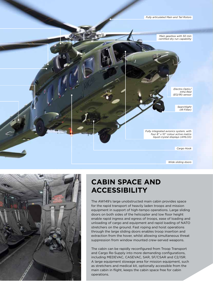



### **CABIN SPACE AND ACCESSIBILITY**

The AW149's large unobstructed main cabin provides space for the rapid transport of heavily laden troops and mission equipment in support of high-tempo operations. Large sliding doors on both sides of the helicopter and low floor height enable rapid ingress and egress of troops, ease of loading and unloading of cargo and equipment and rapid loading of NATO stretchers on the ground. Fast roping and hoist operations through the large sliding doors enables troop insertion and extraction from the hover, whilst allowing simultaneous threat suppression from window mounted crew-served weapons.

The cabin can be rapidly reconfigured from Troop Transport and Cargo Re-Supply into more demanding configurations, including MEDEVAC, CASEVAC, SAR, SF/CSAR and C2/ISR. A large equipment stowage area for mission equipment, such as stretchers and medical kit, optionally accessible from the main cabin in flight, keeps the cabin space free for cabin operations.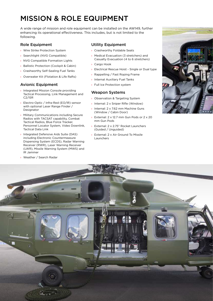### MISSION & ROLE EQUIPMENT

A wide range of mission and role equipment can be installed on the AW149, further enhancing its operational effectiveness. This includes, but is not limited to the following.

#### Role Equipment

- › Wire Strike Protection System
- › Searchlight (NVG Compatible)
- › NVG Compatible Formation Lights
- › Ballistic Protection (Cockpit & Cabin)
- › Crashworthy Self-Sealing Fuel Tanks
- › Overwater Kit (Flotation & Life Rafts)

#### Avionic Equipment

- › Integrated Mission Console providing Tactical Processing, Link Management and C2/ISR
- › Electro-Optic / Infra-Red (EO/IR) sensor with optional Laser Range Finder / Designator
- › Military Communications including Secure Radios with TACSAT capability, Combat Tactical Radios, Blue Force Tracker, Personnel Locator System, Video Downlink, Tactical Data Link
- › Integrated Defensive Aids Suite (DAS) including Electronic Countermeasure Dispensing System (ECDS), Radar Warning Receiver (RWR), Laser Warning Receiver (LWR), Missile Warning System (MWS) and IR Jammer
- › Weather / Search Radar

#### Utility Equipment

- › Crashworthy Foldable Seats
- › Medical Evacuation (3 stretchers) and Casualty Evacuation (4 to 6 stretchers)
- › Cargo Hook
- › Electrical Rescue Hoist Single or Dual type
- › Rappelling / Fast Roping Frame
- › Internal Auxiliary Fuel Tanks
- › Full Ice Protection system

#### Weapon Systems

- › Observation & Targeting System
- › Internal: 2 x Sniper Rifle (Window)
- › Internal: 2 x 7.62 mm Machine Guns (Window / Cabin Door)
- › External: 2 x 12.7 mm Gun Pods or 2 x 20 mm Gun Pods
- › External: 2 x 2.75" Rocket Launchers (Guided / Unguided)
- › External: 2 x Air Ground To Missile Launchers



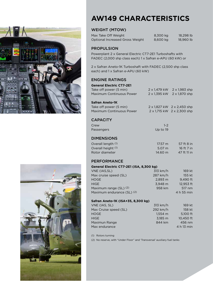



### **AW149 CHARACTERISTICS**

#### WEIGHT (MTOW)

| Max Take Off Weight             | 8,300 kg | 18.298 lb |
|---------------------------------|----------|-----------|
| Optional Increased Gross Weight | 8,600 kg | 18,960 lb |

#### PROPULSION

Powerplant 2 x General Electric CT7-2E1 Turboshafts with FADEC (2,000 shp class each) 1 x Safran e-APU (60 kW) or

2 x Safran Aneto-1K Turboshaft with FADEC (2,500 shp class each) and 1 x Safran e-APU (60 kW)

#### ENGINE RATINGS

#### **General Electric CT7-2E1** Take off power (5 min) 2 x 1,479 kW 2 x 1,983 shp Maximum Continuous Power 2 x 1,395 kW 2 x 1,870 shp **Safran Aneto-1K** Take off power (5 min) 2 x 1,827 kW 2 x 2,450 shp Maximum Continuous Power 2 x 1,715 kW 2 x 2,300 shp

#### **CAPACITY**

| $1 - 2$    |  |
|------------|--|
| Up to $19$ |  |
|            |  |

#### DIMENSIONS

| Overall length (1) | $17.57 \; m$ | 57 ft 8 in  |
|--------------------|--------------|-------------|
| Overall height (1) | 5.07 m       | 16 ft 7 in  |
| Rotor diameter     | 14.60 m      | 47 ft 11 in |

#### PERFORMANCE

#### **General Electric CT7-2E1 (ISA, 8,300 kg)**

| VNE (IAS, SL)              | 313 km/h | 169 kt     |
|----------------------------|----------|------------|
| Max cruise speed (SL)      | 287 km/h | 155 kt     |
| <b>HOGE</b>                | 2.893 m  | 9.490 ft   |
| <b>HIGE</b>                | 3.948 m  | 12.953 ft  |
| Maximum range $(SL)$ $(2)$ | 958 km   | 517 nm     |
| Maximum endurance (SL) (2) |          | 4 h 55 min |

#### **Safran Aneto-1K (ISA+35, 8,300 kg)**

| VNE (IAS, SL)         | $313$ km/h   | 169 kt     |
|-----------------------|--------------|------------|
| Max Cruise speed (SL) | 292 km/h     | 158 kt     |
| <b>HOGE</b>           | $1.554 \; m$ | 5.100 ft   |
| <b>HIGE</b>           | 3.185 m      | 10.450 ft  |
| Maximun Range         | 844 km       | 456 nm     |
| Max endurance         |              | 4 h 13 min |

(1) Rotors turning

(2) No reserve, with "Under Floor" and 'Transversal' auxiliary fuel tanks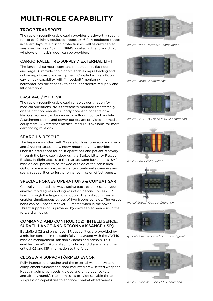### **MULTI-ROLE CAPABILITY**

#### TROOP TRANSPORT

The rapidly reconfigurable cabin provides crashworthy seating for up to 19 lightly equipped troops or 16 fully equipped troops in several layouts. Ballistic protection as well as crew served weapons, such as 7.62 mm GPMG located in the forward cabin windows or in cabin door, can be provided.

#### CARGO PALLET RE-SUPPLY / EXTERNAL LIFT

The large 11.2 cu metre constant section cabin, flat floor and large 1.6 m wide cabin doors enables rapid loading and unloading of cargo and equipment. Coupled with a 2,800 kg cargo hook capability, with "in cockpit" monitoring the helicopter has the capacity to conduct effective resupply and lift operations.

#### CASEVAC / MEDEVAC

The rapidly reconfigurable cabin enables designation for medical operations. NATO stretchers mounted transversally on the flat floor enable full body access to patients or 4 NATO stretchers can be carried in a floor mounted module. Attachment points and power outlets are provided for medical equipment. A 3 stretcher medical module is available for more demanding missions.

#### SEARCH & RESCUE

The large cabin fitted with 2 seats for hoist operator and medic and 2 gunner seats and window mounted guns, provides unobstructed space for hoist operations and patient recovery through the large cabin door using a Stokes Litter or Rescue Basket. In-flight access to the rear stowage bay enables SAR mission equipment to be stowed outside of the cabin area. Optional mission consoles enhance situational awareness and search capabilities to further enhance mission effectiveness.

#### SPECIAL FORCES OPERATIONS & COMBAT SAR

Centrally mounted sideways facing back-to-back seat layout enables rapid egress and ingress of a Speacial Forces (SF) team through the large sliding doors. The fast roping system enables simultaneous egress of two troops per side. The rescue hoist can be used to recover SF teams when in the hover. Threat suppression is provided by crew served weapons in the forward windows.

#### COMMAND AND CONTROL (C2), INTELLIGENCE, SURVEILLANCE AND RECONNAISSANCE (ISR)

Battlefield C2 and enhanced ISR capabilities are provided by a mission console in the cabin fully integrated with the AW149 mission management, mission systems and sensors. This enables the AW149 to collect, produce and disseminate time critical C2 and ISR information to the force.

#### CLOSE AIR SUPPORT/ARMED ESCORT

Fully integrated targeting and the external weapon system complement window and door mounted crew served weapons. Heavy machine gun pods, guided and unguided rockets and air to ground/air to air missiles provide scalable threat suppression capabilities to enhance combat effectiveness.



*Typical Troop Transport Configuration*



*Typical Cargo Configuration*



*Typical CASEVAC/MEDEVAC Configuration*



*Typical SAR Configuration*



*Typical Special Ops Configuration*



*Typical Command and Control Configuration*



*Typical Close Air Support Configuration*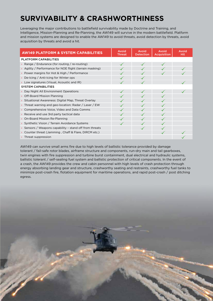### **SURVIVABILITY & CRASHWORTHINESS**

Leveraging the major contributions to battlefield survivability made by Doctrine and Training, and Intelligence, Mission-Planning and Re-Planning, the AW149 will survive in the modern battlefield. Platform and mission systems are designed to enable the AW149 to avoid threats, avoid detection by threats, avoid acquisition by threats and avoid a hit.

| <b>AW149 PLATFORM &amp; SYSTEM CAPABILITIES</b>                      | Avoid<br><b>Threat</b> | Avoid<br><b>Detection</b> | Avoid<br><b>Acquisition</b> | Avoid<br><b>Hit</b> |
|----------------------------------------------------------------------|------------------------|---------------------------|-----------------------------|---------------------|
| <b>PLATFORM CAPABILITIES</b>                                         |                        |                           |                             |                     |
| $\rightarrow$ Range / Endurance (for routing / re-routing)           |                        |                           |                             |                     |
| $\rightarrow$ Agility / Performance for NOE flight (terrain masking) |                        |                           |                             |                     |
| > Power margins for Hot & High / Performance                         |                        |                           |                             |                     |
| $\rightarrow$ De-Icing / Anti-Icing for Winter ops                   |                        |                           |                             |                     |
| $\rightarrow$ Low signatures (Visual, Acoustic and IR)               |                        |                           |                             |                     |
| <b>SYSTEM CAPABILITIES</b>                                           |                        |                           |                             |                     |
| > Day Night All Environment Operations                               |                        |                           |                             |                     |
| > Off-Board Mission Planning                                         |                        |                           |                             |                     |
| > Situational Awareness: Digital Map, Threat Overlay                 |                        |                           |                             |                     |
| > Threat warning and geo-location: Radar / Laser / EW                |                        |                           |                             |                     |
| > Comprehensive Voice, Video and Data Comms                          |                        |                           |                             |                     |
| $\rightarrow$ Receive and use 3rd party tactical data                |                        |                           |                             |                     |
| > On-Board Mission Re-Planning                                       |                        |                           |                             |                     |
| > Synthetic Vision / Terrain Avoidance Systems                       |                        |                           |                             |                     |
| Sensors / Weapons capability - stand off from threats                |                        |                           |                             |                     |
| $\rightarrow$ Counter threat (Jamming, Chaff & Flare, DIRCM etc.)    |                        |                           |                             |                     |
| $\rightarrow$ Threat suppression                                     |                        |                           |                             |                     |

AW149 can survive small arms fire due to high levels of ballistic tolerance provided by damage tolerant / fail-safe rotor blades, airframe structure and components, run-dry main and tail gearboxes, twin engines with fire suppression and turbine burst containment, dual electrical and hydraulic systems, ballistic tolerant / self-sealing fuel system and ballistic protection of critical components. In the event of a crash, the AW149 provides the crew and cabin personnel with high levels of crash protection through energy absorbing landing gear and structure, crashworthy seating and restraints, crashworthy fuel tanks to minimize post-crash fire, flotation equipment for maritime operations, and rapid post-crash / post ditching egress.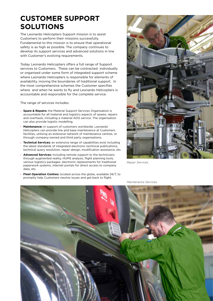### **CUSTOMER SUPPORT SOLUTIONS**

The Leonardo Helicopters Support mission is to assist Customers to perform their missions successfully. Fundamental to this mission is to ensure that operational safety is as high as possible. The company continues to develop its support services and advanced solutions in line with Customer's evolving requirements.

Today Leonardo Helicopters offers a full range of Support services to Customers. These can be contracted individually or organised under some form of integrated support scheme where Leonardo Helicopters is responsible for elements of availability, moving the boundaries of traditional support. In the most comprehensive schemes the Customer specifies where and when he wants to fly and Leonardo Helicopters is accountable and responsible for the complete service.

The range of services includes:

- › **Spare & Repairs:** the Material Support Services Organisation is accountable for all material and logistics aspects of spares, repairs and overhauls, including a material AOG service. The organisation can also provide logistic modelling.
- › **Maintenance:** in support of customers worldwide, Leonardo Helicopters can provide line and base maintenance at Customers facilities, utilising an extensive network of maintenance centres, or through company-owned and third party organisations.
- › **Technical Services:** an extensive range of capabilities exist including the latest standards of integrated electronic technical publications, technical query resolution, repair design, modification assistance, etc.
- › **Advanced Services:** including remote support to the technicians through augmented reality, HUMS analysis, flight planning tools, various logistics packages, electronic replacements for traditional paperwork systems, internet portals for direct access to company data, etc.
- › **Fleet Operation Centres:** located across the globe, available 24/7, to promptly help Customers resolve issues and get back to flight.



*Repair Services*

*Maintenance Services*

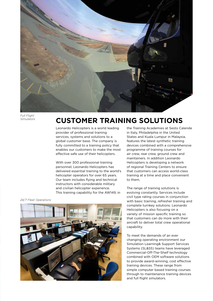

*Full Flight Simulators*

### **CUSTOMER TRAINING SOLUTIONS**

Leonardo Helicopters is a world leading provider of professional training services, systems and solutions to a global customer base. The company is fully committed to a training policy that enables our customers to make the most effective safe use of their helicopters.

With over 300 professional training personnel, Leonardo Helicopters has delivered essential training to the world's helicopter operators for over 65 years. Our team includes flying and technical instructors with considerable military and civilian helicopter experience. This training capability for the AW149, in

*24/7 Fleet Operations*



the Training Academies at Sesto Calende in Italy, Philadelphia in the United States and Kuala Lumpur in Malaysia, features the latest synthetic training devices combined with a comprehensive programme of training courses for air crew, rear crew, ground crew and maintainers. In addition Leonardo Helicopters is developing a network of regional Training Centers to ensure that customers can access world-class training at a time and place convenient to them.

The range of training solutions is evolving constantly. Services include civil type rating courses in conjunction with basic training, refresher training and complete turnkey solutions. Leonardo Helicopters is also focusing on a variety of mission specific training so that customers can do more with their aircraft to deliver total crew operational capability.

To meet the demands of an ever changing operating environment our Simulation Learning& Support Services Systems (SL&SS) teams have leveraged Commercial-Off-The-Shelf technology combined with OEM software solutions to provide award-winning, cost effective training devices. These range from simple computer based training courses through to maintenance training devices and full flight simulators.